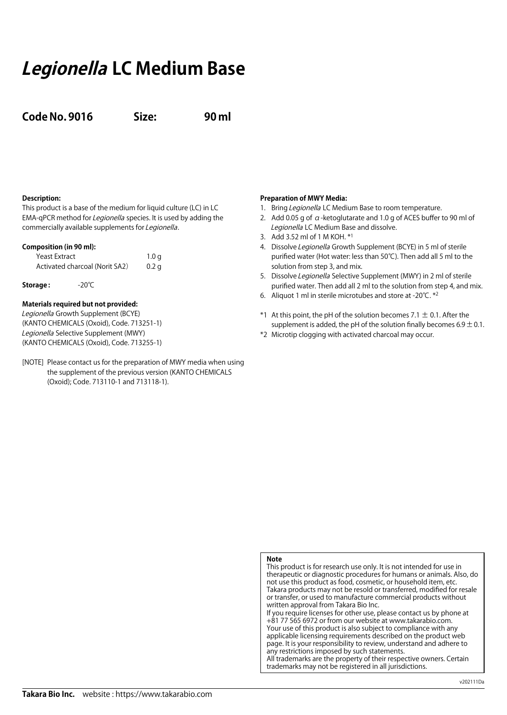# **Legionella LC Medium Base**

**Code No. 9016 Size: 90 ml**

## **Description:**

This product is a base of the medium for liquid culture (LC) in LC EMA-qPCR method for *Legionella* species. It is used by adding the commercially available supplements for Legionella.

### **Composition (in 90 ml):**

| Yeast Extract                  | 1.0 <sub>q</sub> |
|--------------------------------|------------------|
| Activated charcoal (Norit SA2) | 0.2 <sub>q</sub> |

**Storage :** -20℃

## **Materials required but not provided:**

Legionella Growth Supplement (BCYE) (KANTO CHEMICALS (Oxoid), Code. 713251-1) Legionella Selective Supplement (MWY) (KANTO CHEMICALS (Oxoid), Code. 713255-1)

[NOTE] Please contact us for the preparation of MWY media when using the supplement of the previous version (KANTO CHEMICALS (Oxoid); Code. 713110-1 and 713118-1).

### **Preparation of MWY Media:**

- 1. Bring Legionella LC Medium Base to room temperature.
- 2. Add 0.05 g of  $\alpha$ -ketoglutarate and 1.0 g of ACES buffer to 90 ml of Legionella LC Medium Base and dissolve.
- 3. Add 3.52 ml of 1 M KOH. \*1
- 4. Dissolve Legionella Growth Supplement (BCYE) in 5 ml of sterile purified water (Hot water: less than 50℃). Then add all 5 ml to the solution from step 3, and mix.
- 5. Dissolve Legionella Selective Supplement (MWY) in 2 ml of sterile purified water. Then add all 2 ml to the solution from step 4, and mix.
- 6. Aliquot 1 ml in sterile microtubes and store at -20℃. \*2
- \*1 At this point, the pH of the solution becomes 7.1  $\pm$  0.1. After the supplement is added, the pH of the solution finally becomes  $6.9 \pm 0.1$ .
- \*2 Microtip clogging with activated charcoal may occur.

## **Note**

This product is for research use only. It is not intended for use in therapeutic or diagnostic procedures for humans or animals. Also, do not use this product as food, cosmetic, or household item, etc. Takara products may not be resold or transferred, modified for resale or transfer, or used to manufacture commercial products without written approval from Takara Bio Inc. If you require licenses for other use, please contact us by phone at

+81 77 565 6972 or from our website at www.takarabio.com. Your use of this product is also subject to compliance with any applicable licensing requirements described on the product web page. It is your responsibility to review, understand and adhere to any restrictions imposed by such statements. All trademarks are the property of their respective owners. Certain trademarks may not be registered in all jurisdictions.